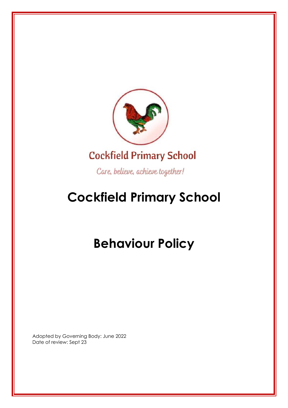

Care, believe, achieve together!

## **Cockfield Primary School**

# **Behaviour Policy**

Adopted by Governing Body: June 2022 Date of review: Sept 23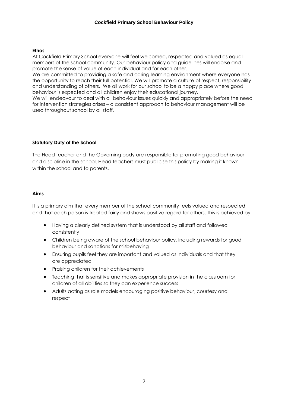#### **Ethos**

At Cockfield Primary School everyone will feel welcomed, respected and valued as equal members of the school community. Our behaviour policy and guidelines will endorse and promote the sense of value of each individual and for each other.

We are committed to providing a safe and caring learning environment where everyone has the opportunity to reach their full potential. We will promote a culture of respect, responsibility and understanding of others. We all work for our school to be a happy place where good behaviour is expected and all children enjoy their educational journey.

We will endeavour to deal with all behaviour issues quickly and appropriately before the need for intervention strategies arises – a consistent approach to behaviour management will be used throughout school by all staff.

#### **Statutory Duty of the School**

The Head teacher and the Governing body are responsible for promoting good behaviour and discipline in the school. Head teachers must publicise this policy by making it known within the school and to parents.

#### **Aims**

It is a primary aim that every member of the school community feels valued and respected and that each person is treated fairly and shows positive regard for others. This is achieved by:

- Having a clearly defined system that is understood by all staff and followed consistently
- Children being aware of the school behaviour policy, including rewards for good behaviour and sanctions for misbehaving
- Ensuring pupils feel they are important and valued as individuals and that they are appreciated
- Praising children for their achievements
- Teaching that is sensitive and makes appropriate provision in the classroom for children of all abilities so they can experience success
- Adults acting as role models encouraging positive behaviour, courtesy and respect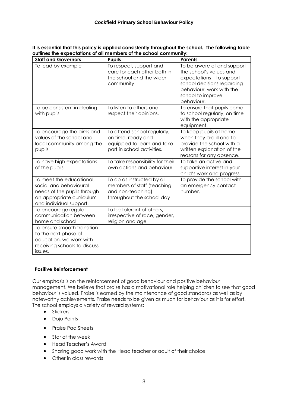| <b>Staff and Governors</b>                                                                                                                | <b>Pupils</b>                                                                                                 | <b>Parents</b>                                                                                                                                                                  |
|-------------------------------------------------------------------------------------------------------------------------------------------|---------------------------------------------------------------------------------------------------------------|---------------------------------------------------------------------------------------------------------------------------------------------------------------------------------|
| To lead by example                                                                                                                        | To respect, support and<br>care for each other both in<br>the school and the wider<br>community.              | To be aware of and support<br>the school's values and<br>expectations - to support<br>school decisions regarding<br>behaviour, work with the<br>school to improve<br>behaviour. |
| To be consistent in dealing<br>with pupils                                                                                                | To listen to others and<br>respect their opinions.                                                            | To ensure that pupils come<br>to school regularly, on time<br>with the appropriate<br>equipment.                                                                                |
| To encourage the aims and<br>values of the school and<br>local community among the<br>pupils                                              | To attend school regularly,<br>on time, ready and<br>equipped to learn and take<br>part in school activities. | To keep pupils at home<br>when they are ill and to<br>provide the school with a<br>written explanation of the<br>reasons for any absence.                                       |
| To have high expectations<br>of the pupils                                                                                                | To take responsibility for their<br>own actions and behaviour                                                 | To take an active and<br>supportive interest in your<br>child's work and progress                                                                                               |
| To meet the educational,<br>social and behavioural<br>needs of the pupils through<br>an appropriate curriculum<br>and individual support. | To do as instructed by all<br>members of staff (teaching<br>and non-teaching)<br>throughout the school day    | To provide the school with<br>an emergency contact<br>number.                                                                                                                   |
| To encourage regular<br>communication between<br>home and school                                                                          | To be tolerant of others,<br>irrespective of race, gender,<br>religion and age                                |                                                                                                                                                                                 |
| To ensure smooth transition<br>to the next phase of<br>education, we work with<br>receiving schools to discuss<br>issues.                 |                                                                                                               |                                                                                                                                                                                 |

**It is essential that this policy is applied consistently throughout the school. The following table outlines the expectations of all members of the school community:**

#### **Positive Reinforcement**

Our emphasis is on the reinforcement of good behaviour and positive behaviour management. We believe that praise has a motivational role helping children to see that good behaviour is valued. Praise is earned by the maintenance of good standards as well as by noteworthy achievements. Praise needs to be given as much for behaviour as it is for effort. The school employs a variety of reward systems:

- Stickers
- Dojo Points
- Praise Pad Sheets
- Star of the week
- Head Teacher's Award
- Sharing good work with the Head teacher or adult of their choice
- Other in class rewards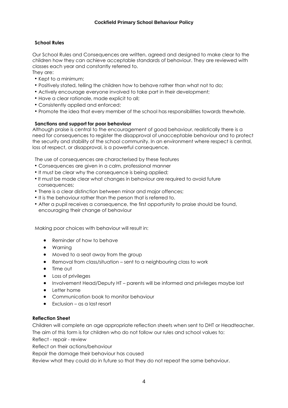#### **School Rules**

Our School Rules and Consequences are written, agreed and designed to make clear to the children how they can achieve acceptable standards of behaviour. They are reviewed with classes each year and constantly referred to. They are:

- Kept to a minimum;
- Positively stated, telling the children how to behave rather than what not to do;
- Actively encourage everyone involved to take part in their development;
- Have a clear rationale, made explicit to all;
- Consistently applied and enforced;
- Promote the idea that every member of the school has responsibilities towards thewhole.

#### **Sanctions and support for poor behaviour**

Although praise is central to the encouragement of good behaviour, realistically there is a need for consequences to register the disapproval of unacceptable behaviour and to protect the security and stability of the school community. In an environment where respect is central, loss of respect, or disapproval, is a powerful consequence.

The use of consequences are characterised by these features

- Consequences are given in a calm, professional manner
- It must be clear why the consequence is being applied;
- It must be made clear what changes in behaviour are required to avoid future consequences;
- There is a clear distinction between minor and major offences;
- It is the behaviour rather than the person that is referred to.
- After a pupil receives a consequence, the first opportunity to praise should be found, encouraging their change of behaviour

Making poor choices with behaviour will result in:

- Reminder of how to behave
- Warning
- Moved to a seat away from the group
- Removal from class/situation sent to a neighbouring class to work
- Time out
- Loss of privileges
- Involvement Head/Deputy HT parents will be informed and privileges maybe lost
- Letter home
- Communication book to monitor behaviour
- Exclusion as a last resort

#### **Reflection Sheet**

Children will complete an age appropriate reflection sheets when sent to DHT or Headteacher. The aim of this form is for children who do not follow our rules and school values to:

Reflect - repair - review

Reflect on their actions/behaviour

Repair the damage their behaviour has caused

Review what they could do in future so that they do not repeat the same behaviour.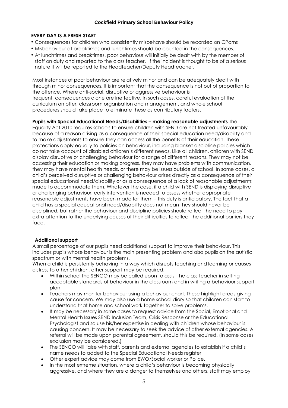#### **Cockfield Primary School Behaviour Policy**

#### **EVERY DAY IS A FRESH START**

- Consequences for children who consistently misbehave should be recorded on CPoms
- Misbehaviour at breaktimes and lunchtimes should be counted in the consequences.
- At lunchtimes and breaktimes, poor behaviour will initially be dealt with by the member of staff on duty and reported to the class teacher. If the incident is thought to be of a serious nature it will be reported to the Headteacher/Deputy Headteacher.

Most instances of poor behaviour are relatively minor and can be adequately dealt with through minor consequences. It is important that the consequence is not out of proportion to the offence. Where anti-social, disruptive or aggressive behaviour is frequent, consequences alone are ineffective. In such cases, careful evaluation of the curriculum on offer, classroom organisation and management, and whole school procedures should take place to eliminate these as contributory factors.

**Pupils with Special Educational Needs/Disabilities – making reasonable adjustments** The Equality Act 2010 requires schools to ensure children with SEND are not treated unfavourably because of a reason arising as a consequence of their special education need/disability and to make adjustments to ensure they can access all the benefits of their education. These protections apply equally to policies on behaviour, including blanket discipline policies which do not take account of disabled children's different needs. Like all children, children with SEND display disruptive or challenging behaviour for a range of different reasons. They may not be accessing their education or making progress, they may have problems with communication, they may have mental health needs, or there may be issues outside of school. In some cases, a child's perceived disruptive or challenging behaviour arises directly as a consequence of their special educational need/disability or as a consequence of a lack of reasonable adjustments made to accommodate them. Whatever the case, if a child with SEND is displaying disruptive or challenging behaviour, early intervention is needed to assess whether appropriate reasonable adjustments have been made for them – this duty is anticipatory. The fact that a child has a special educational need/disability does not mean they should never be disciplined, but rather the behaviour and discipline policies should reflect the need to pay extra attention to the underlying causes of their difficulties to reflect the additional barriers they face.

#### **Additional support**

A small percentage of our pupils need additional support to improve their behaviour. This includes pupils whose behaviour is the main presenting problem and also pupils on the autistic spectrum or with mental health problems.

When a child is persistently behaving in a way which disrupts teaching and learning or causes distress to other children, other support may be required:

- Within school the SENCO may be called upon to assist the class teacher in setting acceptable standards of behaviour in the classroom and in writing a behaviour support plan.
- Teachers may monitor behaviour using a behaviour chart. These highlight areas giving cause for concern. We may also use a home school diary so that children can start to understand that home and school work together to solve problems.
- It may be necessary in some cases to request advice from the Social, Emotional and Mental Health Issues SEND Inclusion Team, Crisis Response or the Educational Psychologist and so use his/her expertise in dealing with children whose behaviour is causing concern. It may be necessary to seek the advice of other external agencies. A referral will be made upon parental agreement, should this be required. (In some cases exclusion may be considered.)
- The SENCO will liaise with staff, parents and external agencies to establish if a child's name needs to added to the Special Educational Needs register
- Other expert advice may come from EWO/Social worker or Police.
- In the most extreme situation, where a child's behaviour is becoming physically aggressive, and where they are a danger to themselves and others, staff may employ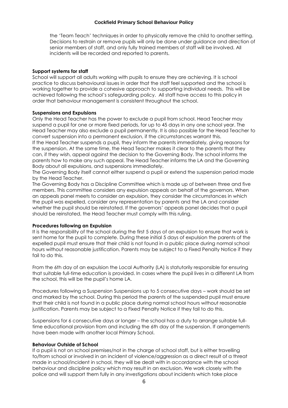#### **Cockfield Primary School Behaviour Policy**

the 'Team Teach' techniques in order to physically remove the child to another setting. Decisions to restrain or remove pupils will only be done under guidance and direction of senior members of staff, and only fully trained members of staff will be involved. All incidents will be recorded and reported to parents.

#### **Support systems for staff**

School will support all adults working with pupils to ensure they are achieving. It is school practice to discuss behavioural issues in order that the staff feel supported and the school is working together to provide a cohesive approach to supporting individual needs. This will be achieved following the school's safeguarding policy. All staff have access to this policy in order that behaviour management is consistent throughout the school.

#### **Suspensions and Expulsions**

Only the Head Teacher has the power to exclude a pupil from school. Head Teacher may suspend a pupil for one or more fixed periods, for up to 45 days in any one school year. The Head Teacher may also exclude a pupil permanently. It is also possible for the Head Teacher to convert suspension into a permanent exclusion, if the circumstances warrant this.

If the Head Teacher suspends a pupil, they inform the parents immediately, giving reasons for the suspension. At the same time, the Head Teacher makes it clear to the parents that they can, if they wish, appeal against the decision to the Governing Body. The school informs the parents how to make any such appeal. The Head Teacher informs the LA and the Governing Body about all expulsions, and suspensions immediately.

The Governing Body itself cannot either suspend a pupil or extend the suspension period made by the Head Teacher.

The Governing Body has a Discipline Committee which is made up of between three and five members. This committee considers any expulsion appeals on behalf of the governors. When an appeals panel meets to consider an expulsion, they consider the circumstances in which the pupil was expelled, consider any representation by parents and the LA and consider whether the pupil should be reinstated. If the governors' appeals panel decides that a pupil should be reinstated, the Head Teacher must comply with this ruling.

#### **Procedures following an Expulsion**

It is the responsibility of the school during the first 5 days of an expulsion to ensure that work is sent home for the pupil to complete. During these initial 5 days of expulsion the parents of the expelled pupil must ensure that their child is not found in a public place during normal school hours without reasonable justification. Parents may be subject to a Fixed Penalty Notice if they fail to do this.

From the 6th day of an expulsion the Local Authority (LA) is statutorily responsible for ensuring that suitable full-time education is provided. In cases where the pupil lives in a different LA from the school, this will be the pupil's home LA.

Procedures following a Suspension Suspensions up to 5 consecutive days – work should be set and marked by the school. During this period the parents of the suspended pupil must ensure that their child is not found in a public place during normal school hours without reasonable justification. Parents may be subject to a Fixed Penalty Notice if they fail to do this.

Suspensions for 6 consecutive days or longer – the school has a duty to arrange suitable fulltime educational provision from and including the 6th day of the suspension. If arrangements have been made with another local Primary School.

#### **Behaviour Outside of School**

If a pupil is not on school premises/not in the charge of school staff, but is either travelling to/from school or involved in an incident of violence/aggression as a direct result of a threat made in school/incident in school, they will be dealt with in accordance with the school behaviour and discipline policy which may result in an exclusion. We work closely with the police and will support them fully in any investigations about incidents which take place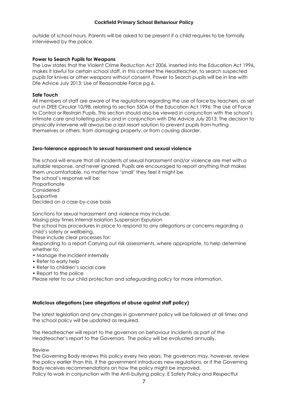outside of school hours. Parents will be asked to be present if a child requires to be formally interviewed by the police.

#### **Power to Search Pupils for Weapons**

The Law states that the Violent Crime Reduction Act 2006, inserted into the Education Act 1996, makes it lawful for certain school staff, in this context the Headteacher, to search suspected pupils for knives or other weapons without consent. Power to Search pupils will be in line with Dfe Advice July 2013: Use of Reasonable Force pg 6.

#### **Safe Touch**

All members of staff are aware of the regulations regarding the use of force by teachers, as set out in DfEE Circular 10/98, relating to section 550A of the Education Act 1996: The Use of Force to Control or Restrain Pupils. This section should also be viewed in conjunction with the school's intimate care and toileting policy and in conjunction with Dfe Advice July 2013: The decision to physically intervene will always be a last resort solution to prevent pupils from hurting themselves or others, from damaging property, or from causing disorder.

#### **Zero-tolerance approach to sexual harassment and sexual violence**

The school will ensure that all incidents of sexual harassment and/or violence are met with a suitable response, and never ignored. Pupils are encouraged to report anything that makes them uncomfortable, no matter how 'small' they feel it might be.

The school's response will be: **Proportionate** Considered Supportive Decided on a case-by-case basis

Sanctions for sexual harassment and violence may include:

Missing play times Internal Isolation Suspension Expulsion

The school has procedures in place to respond to any allegations or concerns regarding a child's safety or wellbeing.

These include clear processes for:

Responding to a report Carrying out risk assessments, where appropriate, to help determine whether to:

- Manage the incident internally
- Refer to early help
- Refer to children's social care
- Report to the police

Please refer to our child protection and safeguarding policy for more information.

#### **Malicious allegations (see allegations of abuse against staff policy)**

The latest legislation and any changes in government policy will be followed at all times and the school policy will be updated as required.

The Headteacher will report to the governors on behaviour incidents as part of the Headteacher's report to the Governors. The policy will be evaluated annually.

Review

The Governing Body reviews this policy every two years. The governors may, however, review the policy earlier than this, if the government introduces new regulations, or if the Governing Body receives recommendations on how the policy might be improved. Policy to work in conjunction with the Anti-bullying policy, E Safety Policy and Respectful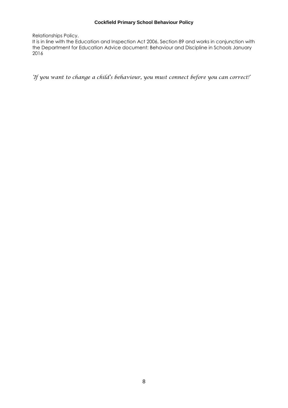#### **Cockfield Primary School Behaviour Policy**

Relationships Policy.

It is in line with the Education and Inspection Act 2006, Section 89 and works in conjunction with the Department for Education Advice document: Behaviour and Discipline in Schools January 2016

*'If you want to change a child's behaviour, you must connect before you can correct!'*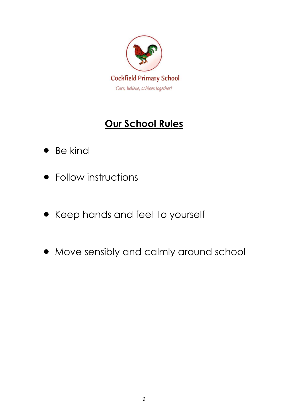

### **Our School Rules**

- Be kind
- Follow instructions
- Keep hands and feet to yourself
- Move sensibly and calmly around school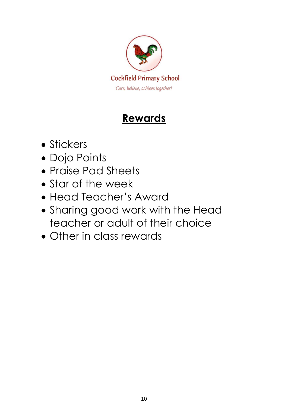

## **Rewards**

- Stickers
- Dojo Points
- Praise Pad Sheets
- Star of the week
- Head Teacher's Award
- Sharing good work with the Head teacher or adult of their choice
- Other in class rewards